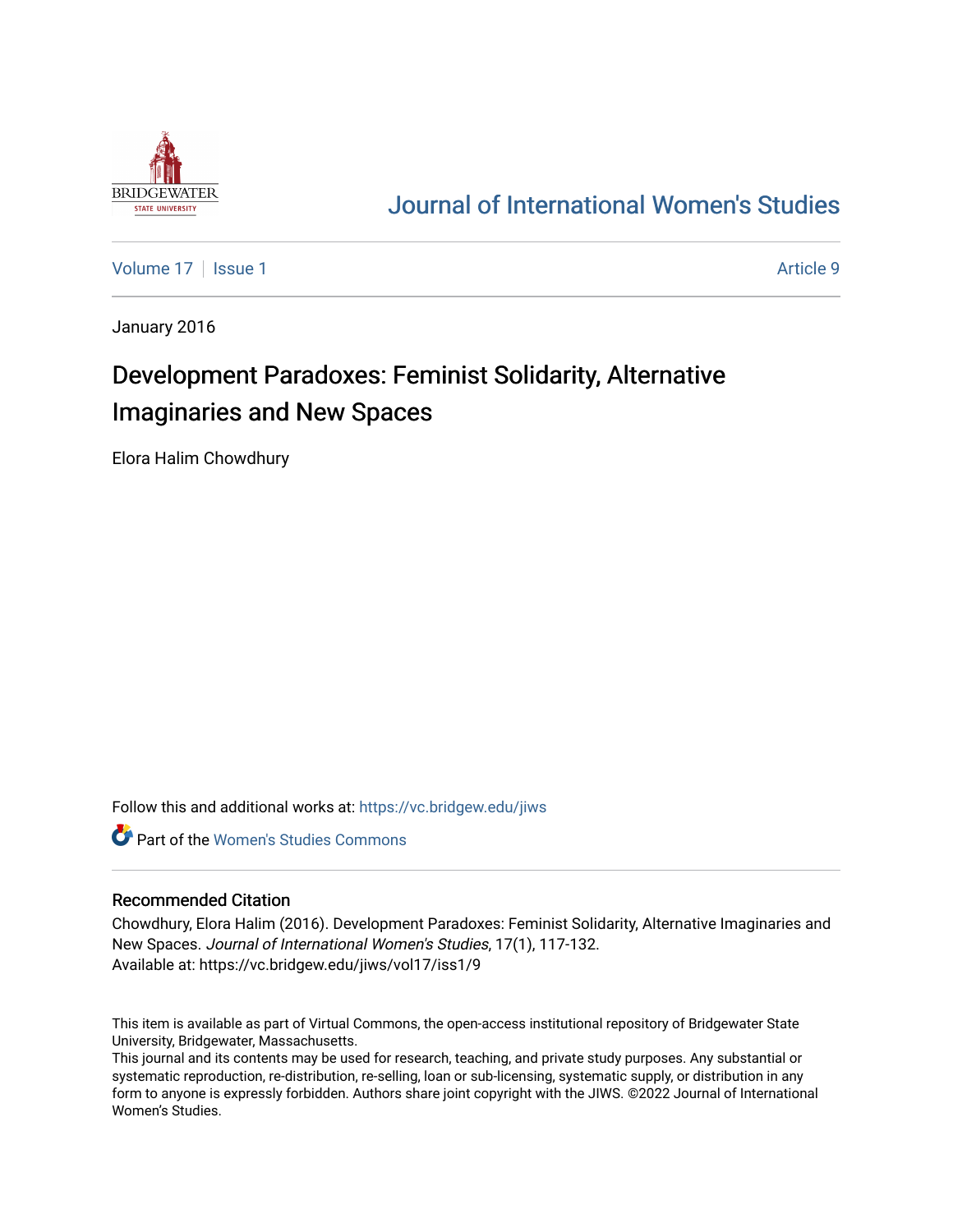

## [Journal of International Women's Studies](https://vc.bridgew.edu/jiws)

[Volume 17](https://vc.bridgew.edu/jiws/vol17) | [Issue 1](https://vc.bridgew.edu/jiws/vol17/iss1) Article 9

January 2016

# Development Paradoxes: Feminist Solidarity, Alternative Imaginaries and New Spaces

Elora Halim Chowdhury

Follow this and additional works at: [https://vc.bridgew.edu/jiws](https://vc.bridgew.edu/jiws?utm_source=vc.bridgew.edu%2Fjiws%2Fvol17%2Fiss1%2F9&utm_medium=PDF&utm_campaign=PDFCoverPages)

**C** Part of the Women's Studies Commons

#### Recommended Citation

Chowdhury, Elora Halim (2016). Development Paradoxes: Feminist Solidarity, Alternative Imaginaries and New Spaces. Journal of International Women's Studies, 17(1), 117-132. Available at: https://vc.bridgew.edu/jiws/vol17/iss1/9

This item is available as part of Virtual Commons, the open-access institutional repository of Bridgewater State University, Bridgewater, Massachusetts.

This journal and its contents may be used for research, teaching, and private study purposes. Any substantial or systematic reproduction, re-distribution, re-selling, loan or sub-licensing, systematic supply, or distribution in any form to anyone is expressly forbidden. Authors share joint copyright with the JIWS. ©2022 Journal of International Women's Studies.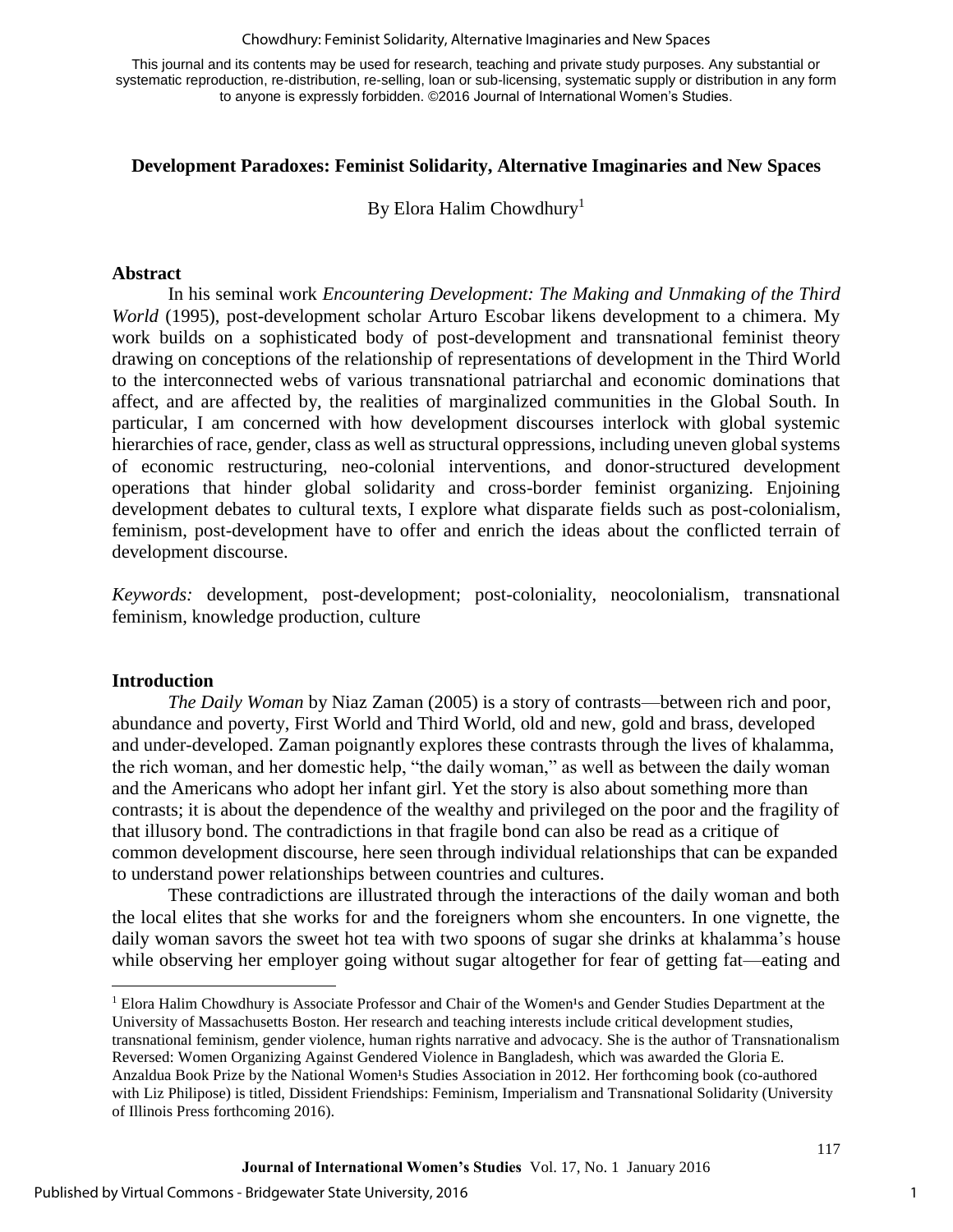Chowdhury: Feminist Solidarity, Alternative Imaginaries and New Spaces

This journal and its contents may be used for research, teaching and private study purposes. Any substantial or systematic reproduction, re-distribution, re-selling, loan or sub-licensing, systematic supply or distribution in any form to anyone is expressly forbidden. ©2016 Journal of International Women's Studies.

### **Development Paradoxes: Feminist Solidarity, Alternative Imaginaries and New Spaces**

By Elora Halim Chowdhury<sup>1</sup>

#### **Abstract**

In his seminal work *Encountering Development: The Making and Unmaking of the Third World* (1995), post-development scholar Arturo Escobar likens development to a chimera. My work builds on a sophisticated body of post-development and transnational feminist theory drawing on conceptions of the relationship of representations of development in the Third World to the interconnected webs of various transnational patriarchal and economic dominations that affect, and are affected by, the realities of marginalized communities in the Global South. In particular, I am concerned with how development discourses interlock with global systemic hierarchies of race, gender, class as well as structural oppressions, including uneven global systems of economic restructuring, neo-colonial interventions, and donor-structured development operations that hinder global solidarity and cross-border feminist organizing. Enjoining development debates to cultural texts, I explore what disparate fields such as post-colonialism, feminism, post-development have to offer and enrich the ideas about the conflicted terrain of development discourse.

*Keywords:* development, post-development; post-coloniality, neocolonialism, transnational feminism, knowledge production, culture

#### **Introduction**

l

*The Daily Woman* by Niaz Zaman (2005) is a story of contrasts—between rich and poor, abundance and poverty, First World and Third World, old and new, gold and brass, developed and under-developed. Zaman poignantly explores these contrasts through the lives of khalamma, the rich woman, and her domestic help, "the daily woman," as well as between the daily woman and the Americans who adopt her infant girl. Yet the story is also about something more than contrasts; it is about the dependence of the wealthy and privileged on the poor and the fragility of that illusory bond. The contradictions in that fragile bond can also be read as a critique of common development discourse, here seen through individual relationships that can be expanded to understand power relationships between countries and cultures.

These contradictions are illustrated through the interactions of the daily woman and both the local elites that she works for and the foreigners whom she encounters. In one vignette, the daily woman savors the sweet hot tea with two spoons of sugar she drinks at khalamma's house while observing her employer going without sugar altogether for fear of getting fat—eating and

<sup>&</sup>lt;sup>1</sup> Elora Halim Chowdhury is Associate Professor and Chair of the Women's and Gender Studies Department at the University of Massachusetts Boston. Her research and teaching interests include critical development studies, transnational feminism, gender violence, human rights narrative and advocacy. She is the author of Transnationalism Reversed: Women Organizing Against Gendered Violence in Bangladesh, which was awarded the Gloria E. Anzaldua Book Prize by the National Women<sup>1</sup>s Studies Association in 2012. Her forthcoming book (co-authored with Liz Philipose) is titled, Dissident Friendships: Feminism, Imperialism and Transnational Solidarity (University of Illinois Press forthcoming 2016).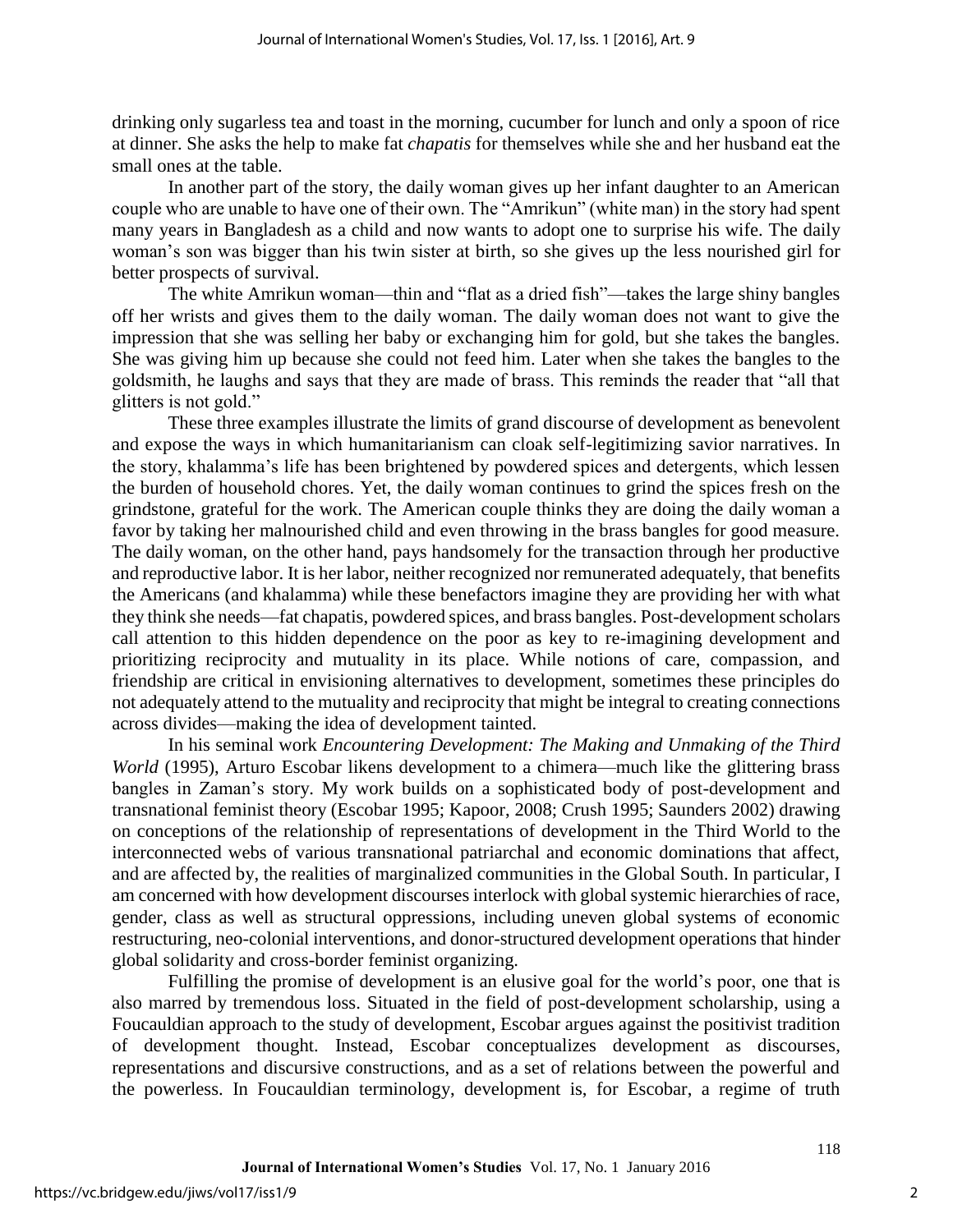drinking only sugarless tea and toast in the morning, cucumber for lunch and only a spoon of rice at dinner. She asks the help to make fat *chapatis* for themselves while she and her husband eat the small ones at the table.

In another part of the story, the daily woman gives up her infant daughter to an American couple who are unable to have one of their own. The "Amrikun" (white man) in the story had spent many years in Bangladesh as a child and now wants to adopt one to surprise his wife. The daily woman's son was bigger than his twin sister at birth, so she gives up the less nourished girl for better prospects of survival.

The white Amrikun woman—thin and "flat as a dried fish"—takes the large shiny bangles off her wrists and gives them to the daily woman. The daily woman does not want to give the impression that she was selling her baby or exchanging him for gold, but she takes the bangles. She was giving him up because she could not feed him. Later when she takes the bangles to the goldsmith, he laughs and says that they are made of brass. This reminds the reader that "all that glitters is not gold."

These three examples illustrate the limits of grand discourse of development as benevolent and expose the ways in which humanitarianism can cloak self-legitimizing savior narratives. In the story, khalamma's life has been brightened by powdered spices and detergents, which lessen the burden of household chores. Yet, the daily woman continues to grind the spices fresh on the grindstone, grateful for the work. The American couple thinks they are doing the daily woman a favor by taking her malnourished child and even throwing in the brass bangles for good measure. The daily woman, on the other hand, pays handsomely for the transaction through her productive and reproductive labor. It is her labor, neither recognized nor remunerated adequately, that benefits the Americans (and khalamma) while these benefactors imagine they are providing her with what they think she needs—fat chapatis, powdered spices, and brass bangles. Post-development scholars call attention to this hidden dependence on the poor as key to re-imagining development and prioritizing reciprocity and mutuality in its place. While notions of care, compassion, and friendship are critical in envisioning alternatives to development, sometimes these principles do not adequately attend to the mutuality and reciprocity that might be integral to creating connections across divides—making the idea of development tainted.

In his seminal work *Encountering Development: The Making and Unmaking of the Third World* (1995), Arturo Escobar likens development to a chimera—much like the glittering brass bangles in Zaman's story. My work builds on a sophisticated body of post-development and transnational feminist theory (Escobar 1995; Kapoor, 2008; Crush 1995; Saunders 2002) drawing on conceptions of the relationship of representations of development in the Third World to the interconnected webs of various transnational patriarchal and economic dominations that affect, and are affected by, the realities of marginalized communities in the Global South. In particular, I am concerned with how development discourses interlock with global systemic hierarchies of race, gender, class as well as structural oppressions, including uneven global systems of economic restructuring, neo-colonial interventions, and donor-structured development operations that hinder global solidarity and cross-border feminist organizing.

Fulfilling the promise of development is an elusive goal for the world's poor, one that is also marred by tremendous loss. Situated in the field of post-development scholarship, using a Foucauldian approach to the study of development, Escobar argues against the positivist tradition of development thought. Instead, Escobar conceptualizes development as discourses, representations and discursive constructions, and as a set of relations between the powerful and the powerless. In Foucauldian terminology, development is, for Escobar, a regime of truth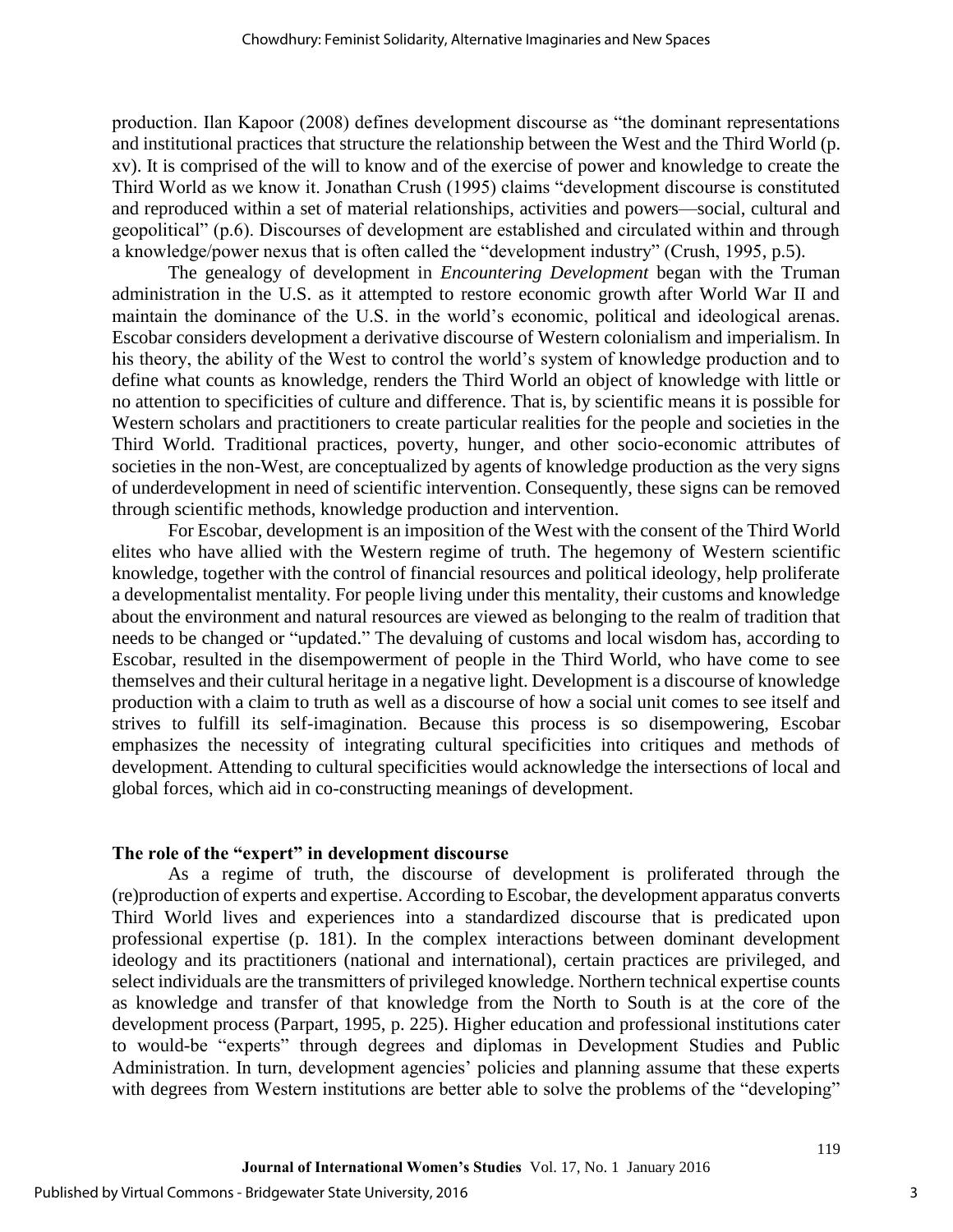production. Ilan Kapoor (2008) defines development discourse as "the dominant representations and institutional practices that structure the relationship between the West and the Third World (p. xv). It is comprised of the will to know and of the exercise of power and knowledge to create the Third World as we know it. Jonathan Crush (1995) claims "development discourse is constituted and reproduced within a set of material relationships, activities and powers—social, cultural and geopolitical" (p.6). Discourses of development are established and circulated within and through a knowledge/power nexus that is often called the "development industry" (Crush, 1995, p.5).

The genealogy of development in *Encountering Development* began with the Truman administration in the U.S. as it attempted to restore economic growth after World War II and maintain the dominance of the U.S. in the world's economic, political and ideological arenas. Escobar considers development a derivative discourse of Western colonialism and imperialism. In his theory, the ability of the West to control the world's system of knowledge production and to define what counts as knowledge, renders the Third World an object of knowledge with little or no attention to specificities of culture and difference. That is, by scientific means it is possible for Western scholars and practitioners to create particular realities for the people and societies in the Third World. Traditional practices, poverty, hunger, and other socio-economic attributes of societies in the non-West, are conceptualized by agents of knowledge production as the very signs of underdevelopment in need of scientific intervention. Consequently, these signs can be removed through scientific methods, knowledge production and intervention.

For Escobar, development is an imposition of the West with the consent of the Third World elites who have allied with the Western regime of truth. The hegemony of Western scientific knowledge, together with the control of financial resources and political ideology, help proliferate a developmentalist mentality. For people living under this mentality, their customs and knowledge about the environment and natural resources are viewed as belonging to the realm of tradition that needs to be changed or "updated." The devaluing of customs and local wisdom has, according to Escobar, resulted in the disempowerment of people in the Third World, who have come to see themselves and their cultural heritage in a negative light. Development is a discourse of knowledge production with a claim to truth as well as a discourse of how a social unit comes to see itself and strives to fulfill its self-imagination. Because this process is so disempowering, Escobar emphasizes the necessity of integrating cultural specificities into critiques and methods of development. Attending to cultural specificities would acknowledge the intersections of local and global forces, which aid in co-constructing meanings of development.

## **The role of the "expert" in development discourse**

As a regime of truth, the discourse of development is proliferated through the (re)production of experts and expertise. According to Escobar, the development apparatus converts Third World lives and experiences into a standardized discourse that is predicated upon professional expertise (p. 181). In the complex interactions between dominant development ideology and its practitioners (national and international), certain practices are privileged, and select individuals are the transmitters of privileged knowledge. Northern technical expertise counts as knowledge and transfer of that knowledge from the North to South is at the core of the development process (Parpart, 1995, p. 225). Higher education and professional institutions cater to would-be "experts" through degrees and diplomas in Development Studies and Public Administration. In turn, development agencies' policies and planning assume that these experts with degrees from Western institutions are better able to solve the problems of the "developing"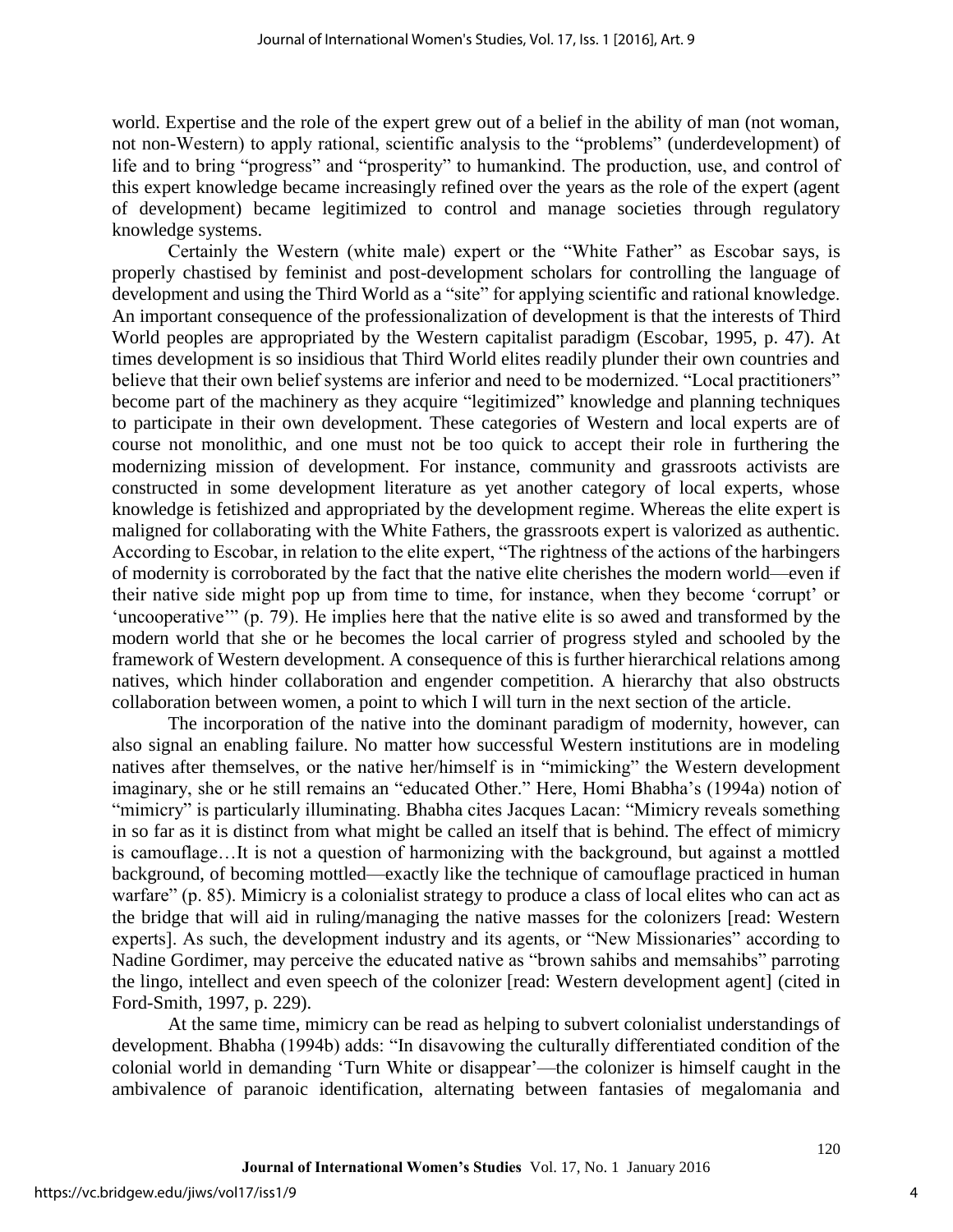world. Expertise and the role of the expert grew out of a belief in the ability of man (not woman, not non-Western) to apply rational, scientific analysis to the "problems" (underdevelopment) of life and to bring "progress" and "prosperity" to humankind. The production, use, and control of this expert knowledge became increasingly refined over the years as the role of the expert (agent of development) became legitimized to control and manage societies through regulatory knowledge systems.

Certainly the Western (white male) expert or the "White Father" as Escobar says, is properly chastised by feminist and post-development scholars for controlling the language of development and using the Third World as a "site" for applying scientific and rational knowledge. An important consequence of the professionalization of development is that the interests of Third World peoples are appropriated by the Western capitalist paradigm (Escobar, 1995, p. 47). At times development is so insidious that Third World elites readily plunder their own countries and believe that their own belief systems are inferior and need to be modernized. "Local practitioners" become part of the machinery as they acquire "legitimized" knowledge and planning techniques to participate in their own development. These categories of Western and local experts are of course not monolithic, and one must not be too quick to accept their role in furthering the modernizing mission of development. For instance, community and grassroots activists are constructed in some development literature as yet another category of local experts, whose knowledge is fetishized and appropriated by the development regime. Whereas the elite expert is maligned for collaborating with the White Fathers, the grassroots expert is valorized as authentic. According to Escobar, in relation to the elite expert, "The rightness of the actions of the harbingers of modernity is corroborated by the fact that the native elite cherishes the modern world—even if their native side might pop up from time to time, for instance, when they become 'corrupt' or 'uncooperative'" (p. 79). He implies here that the native elite is so awed and transformed by the modern world that she or he becomes the local carrier of progress styled and schooled by the framework of Western development. A consequence of this is further hierarchical relations among natives, which hinder collaboration and engender competition. A hierarchy that also obstructs collaboration between women, a point to which I will turn in the next section of the article.

The incorporation of the native into the dominant paradigm of modernity, however, can also signal an enabling failure. No matter how successful Western institutions are in modeling natives after themselves, or the native her/himself is in "mimicking" the Western development imaginary, she or he still remains an "educated Other." Here, Homi Bhabha's (1994a) notion of "mimicry" is particularly illuminating. Bhabha cites Jacques Lacan: "Mimicry reveals something in so far as it is distinct from what might be called an itself that is behind. The effect of mimicry is camouflage…It is not a question of harmonizing with the background, but against a mottled background, of becoming mottled—exactly like the technique of camouflage practiced in human warfare" (p. 85). Mimicry is a colonialist strategy to produce a class of local elites who can act as the bridge that will aid in ruling/managing the native masses for the colonizers [read: Western experts]. As such, the development industry and its agents, or "New Missionaries" according to Nadine Gordimer, may perceive the educated native as "brown sahibs and memsahibs" parroting the lingo, intellect and even speech of the colonizer [read: Western development agent] (cited in Ford-Smith, 1997, p. 229).

At the same time, mimicry can be read as helping to subvert colonialist understandings of development. Bhabha (1994b) adds: "In disavowing the culturally differentiated condition of the colonial world in demanding 'Turn White or disappear'—the colonizer is himself caught in the ambivalence of paranoic identification, alternating between fantasies of megalomania and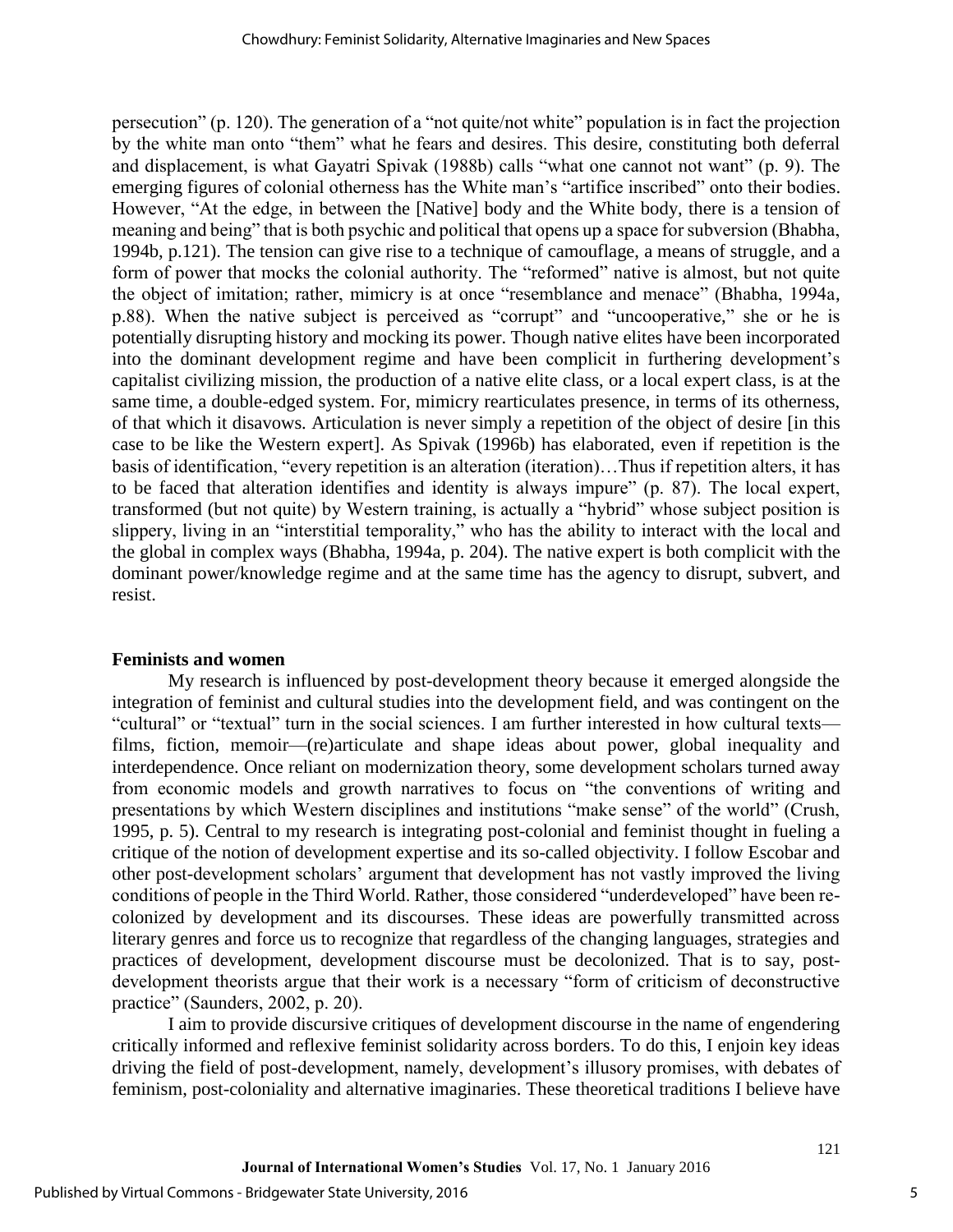persecution" (p. 120). The generation of a "not quite/not white" population is in fact the projection by the white man onto "them" what he fears and desires. This desire, constituting both deferral and displacement, is what Gayatri Spivak (1988b) calls "what one cannot not want" (p. 9). The emerging figures of colonial otherness has the White man's "artifice inscribed" onto their bodies. However, "At the edge, in between the [Native] body and the White body, there is a tension of meaning and being" that is both psychic and political that opens up a space for subversion (Bhabha, 1994b, p.121). The tension can give rise to a technique of camouflage, a means of struggle, and a form of power that mocks the colonial authority. The "reformed" native is almost, but not quite the object of imitation; rather, mimicry is at once "resemblance and menace" (Bhabha, 1994a, p.88). When the native subject is perceived as "corrupt" and "uncooperative," she or he is potentially disrupting history and mocking its power. Though native elites have been incorporated into the dominant development regime and have been complicit in furthering development's capitalist civilizing mission, the production of a native elite class, or a local expert class, is at the same time, a double-edged system. For, mimicry rearticulates presence, in terms of its otherness, of that which it disavows. Articulation is never simply a repetition of the object of desire [in this case to be like the Western expert]. As Spivak (1996b) has elaborated, even if repetition is the basis of identification, "every repetition is an alteration (iteration)…Thus if repetition alters, it has to be faced that alteration identifies and identity is always impure" (p. 87). The local expert, transformed (but not quite) by Western training, is actually a "hybrid" whose subject position is slippery, living in an "interstitial temporality," who has the ability to interact with the local and the global in complex ways (Bhabha, 1994a, p. 204). The native expert is both complicit with the dominant power/knowledge regime and at the same time has the agency to disrupt, subvert, and resist.

#### **Feminists and women**

My research is influenced by post-development theory because it emerged alongside the integration of feminist and cultural studies into the development field, and was contingent on the "cultural" or "textual" turn in the social sciences. I am further interested in how cultural texts films, fiction, memoir—(re)articulate and shape ideas about power, global inequality and interdependence. Once reliant on modernization theory, some development scholars turned away from economic models and growth narratives to focus on "the conventions of writing and presentations by which Western disciplines and institutions "make sense" of the world" (Crush, 1995, p. 5). Central to my research is integrating post-colonial and feminist thought in fueling a critique of the notion of development expertise and its so-called objectivity. I follow Escobar and other post-development scholars' argument that development has not vastly improved the living conditions of people in the Third World. Rather, those considered "underdeveloped" have been recolonized by development and its discourses. These ideas are powerfully transmitted across literary genres and force us to recognize that regardless of the changing languages, strategies and practices of development, development discourse must be decolonized. That is to say, postdevelopment theorists argue that their work is a necessary "form of criticism of deconstructive practice" (Saunders, 2002, p. 20).

I aim to provide discursive critiques of development discourse in the name of engendering critically informed and reflexive feminist solidarity across borders. To do this, I enjoin key ideas driving the field of post-development, namely, development's illusory promises, with debates of feminism, post-coloniality and alternative imaginaries. These theoretical traditions I believe have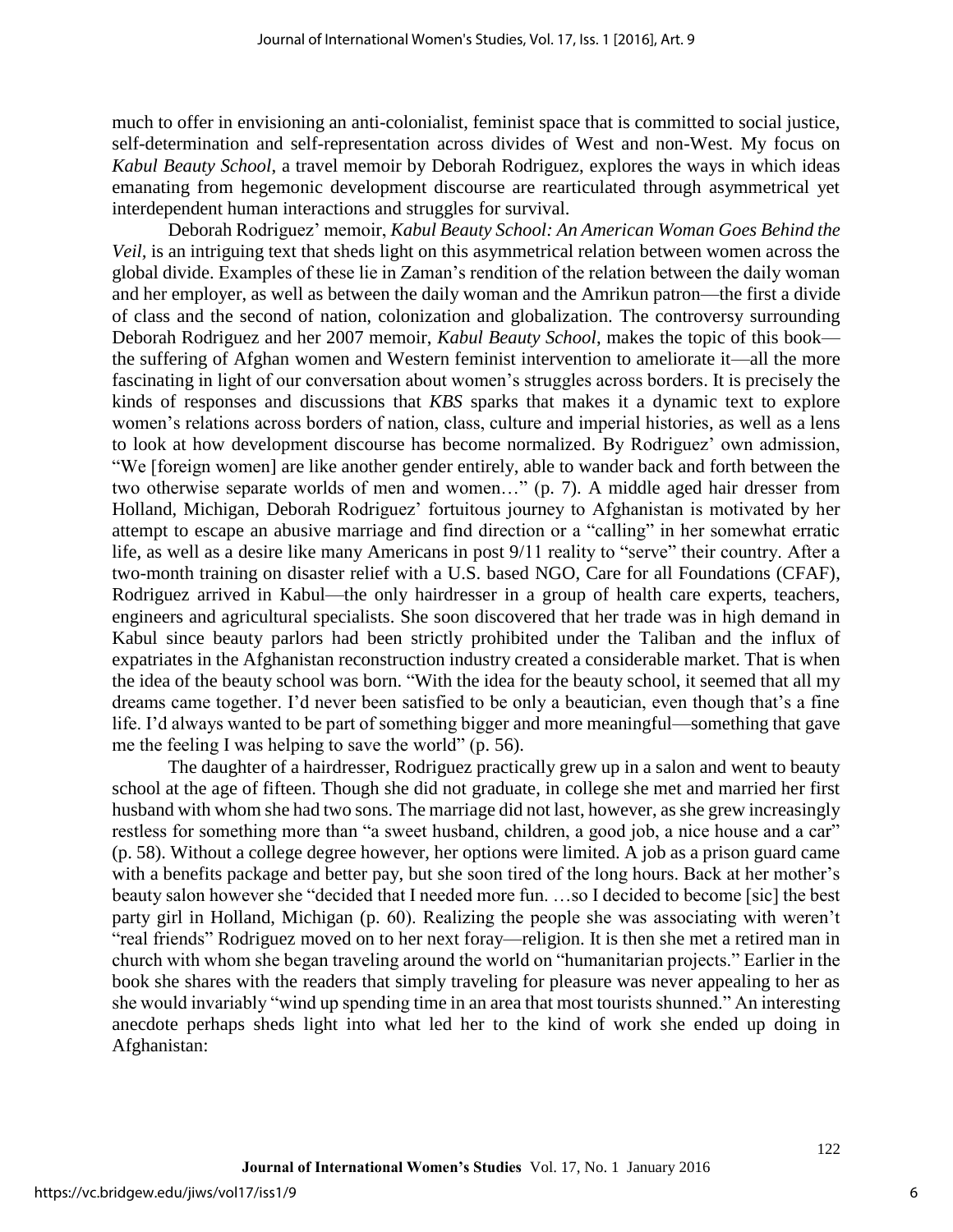much to offer in envisioning an anti-colonialist, feminist space that is committed to social justice, self-determination and self-representation across divides of West and non-West. My focus on *Kabul Beauty School*, a travel memoir by Deborah Rodriguez, explores the ways in which ideas emanating from hegemonic development discourse are rearticulated through asymmetrical yet interdependent human interactions and struggles for survival.

Deborah Rodriguez' memoir, *Kabul Beauty School: An American Woman Goes Behind the Veil,* is an intriguing text that sheds light on this asymmetrical relation between women across the global divide. Examples of these lie in Zaman's rendition of the relation between the daily woman and her employer, as well as between the daily woman and the Amrikun patron—the first a divide of class and the second of nation, colonization and globalization. The controversy surrounding Deborah Rodriguez and her 2007 memoir, *Kabul Beauty School*, makes the topic of this book the suffering of Afghan women and Western feminist intervention to ameliorate it—all the more fascinating in light of our conversation about women's struggles across borders. It is precisely the kinds of responses and discussions that *KBS* sparks that makes it a dynamic text to explore women's relations across borders of nation, class, culture and imperial histories, as well as a lens to look at how development discourse has become normalized. By Rodriguez' own admission, "We [foreign women] are like another gender entirely, able to wander back and forth between the two otherwise separate worlds of men and women…" (p. 7). A middle aged hair dresser from Holland, Michigan, Deborah Rodriguez' fortuitous journey to Afghanistan is motivated by her attempt to escape an abusive marriage and find direction or a "calling" in her somewhat erratic life, as well as a desire like many Americans in post 9/11 reality to "serve" their country. After a two-month training on disaster relief with a U.S. based NGO, Care for all Foundations (CFAF), Rodriguez arrived in Kabul—the only hairdresser in a group of health care experts, teachers, engineers and agricultural specialists. She soon discovered that her trade was in high demand in Kabul since beauty parlors had been strictly prohibited under the Taliban and the influx of expatriates in the Afghanistan reconstruction industry created a considerable market. That is when the idea of the beauty school was born. "With the idea for the beauty school, it seemed that all my dreams came together. I'd never been satisfied to be only a beautician, even though that's a fine life. I'd always wanted to be part of something bigger and more meaningful—something that gave me the feeling I was helping to save the world" (p. 56).

The daughter of a hairdresser, Rodriguez practically grew up in a salon and went to beauty school at the age of fifteen. Though she did not graduate, in college she met and married her first husband with whom she had two sons. The marriage did not last, however, as she grew increasingly restless for something more than "a sweet husband, children, a good job, a nice house and a car" (p. 58). Without a college degree however, her options were limited. A job as a prison guard came with a benefits package and better pay, but she soon tired of the long hours. Back at her mother's beauty salon however she "decided that I needed more fun. …so I decided to become [sic] the best party girl in Holland, Michigan (p. 60). Realizing the people she was associating with weren't "real friends" Rodriguez moved on to her next foray—religion. It is then she met a retired man in church with whom she began traveling around the world on "humanitarian projects." Earlier in the book she shares with the readers that simply traveling for pleasure was never appealing to her as she would invariably "wind up spending time in an area that most tourists shunned." An interesting anecdote perhaps sheds light into what led her to the kind of work she ended up doing in Afghanistan: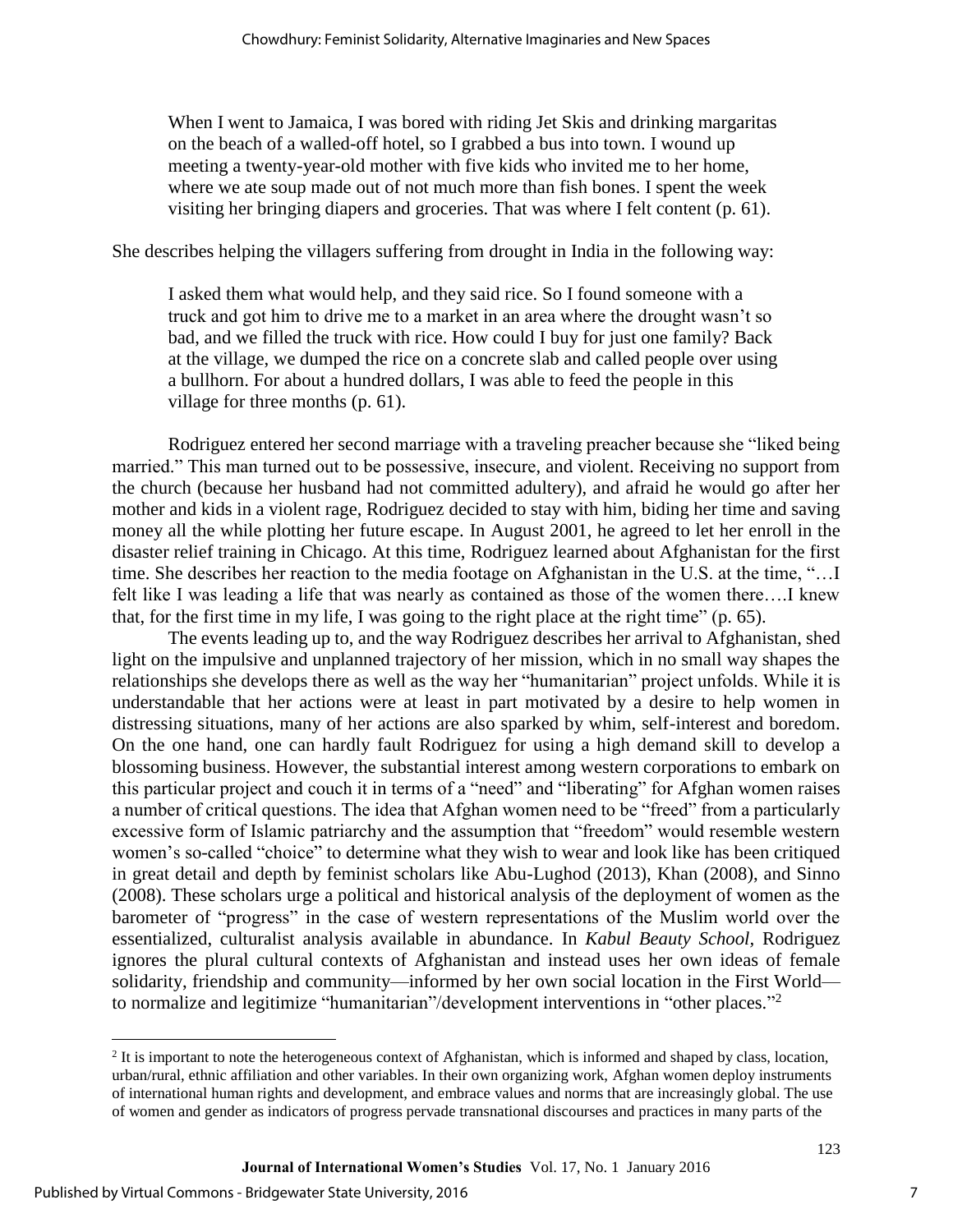When I went to Jamaica, I was bored with riding Jet Skis and drinking margaritas on the beach of a walled-off hotel, so I grabbed a bus into town. I wound up meeting a twenty-year-old mother with five kids who invited me to her home, where we ate soup made out of not much more than fish bones. I spent the week visiting her bringing diapers and groceries. That was where I felt content (p. 61).

She describes helping the villagers suffering from drought in India in the following way:

I asked them what would help, and they said rice. So I found someone with a truck and got him to drive me to a market in an area where the drought wasn't so bad, and we filled the truck with rice. How could I buy for just one family? Back at the village, we dumped the rice on a concrete slab and called people over using a bullhorn. For about a hundred dollars, I was able to feed the people in this village for three months (p. 61).

Rodriguez entered her second marriage with a traveling preacher because she "liked being married." This man turned out to be possessive, insecure, and violent. Receiving no support from the church (because her husband had not committed adultery), and afraid he would go after her mother and kids in a violent rage, Rodriguez decided to stay with him, biding her time and saving money all the while plotting her future escape. In August 2001, he agreed to let her enroll in the disaster relief training in Chicago. At this time, Rodriguez learned about Afghanistan for the first time. She describes her reaction to the media footage on Afghanistan in the U.S. at the time, "…I felt like I was leading a life that was nearly as contained as those of the women there….I knew that, for the first time in my life, I was going to the right place at the right time" (p. 65).

The events leading up to, and the way Rodriguez describes her arrival to Afghanistan, shed light on the impulsive and unplanned trajectory of her mission, which in no small way shapes the relationships she develops there as well as the way her "humanitarian" project unfolds. While it is understandable that her actions were at least in part motivated by a desire to help women in distressing situations, many of her actions are also sparked by whim, self-interest and boredom. On the one hand, one can hardly fault Rodriguez for using a high demand skill to develop a blossoming business. However, the substantial interest among western corporations to embark on this particular project and couch it in terms of a "need" and "liberating" for Afghan women raises a number of critical questions. The idea that Afghan women need to be "freed" from a particularly excessive form of Islamic patriarchy and the assumption that "freedom" would resemble western women's so-called "choice" to determine what they wish to wear and look like has been critiqued in great detail and depth by feminist scholars like Abu-Lughod (2013), Khan (2008), and Sinno (2008). These scholars urge a political and historical analysis of the deployment of women as the barometer of "progress" in the case of western representations of the Muslim world over the essentialized, culturalist analysis available in abundance. In *Kabul Beauty School,* Rodriguez ignores the plural cultural contexts of Afghanistan and instead uses her own ideas of female solidarity, friendship and community—informed by her own social location in the First World to normalize and legitimize "humanitarian"/development interventions in "other places."<sup>2</sup>

l

 $<sup>2</sup>$  It is important to note the heterogeneous context of Afghanistan, which is informed and shaped by class, location,</sup> urban/rural, ethnic affiliation and other variables. In their own organizing work, Afghan women deploy instruments of international human rights and development, and embrace values and norms that are increasingly global. The use of women and gender as indicators of progress pervade transnational discourses and practices in many parts of the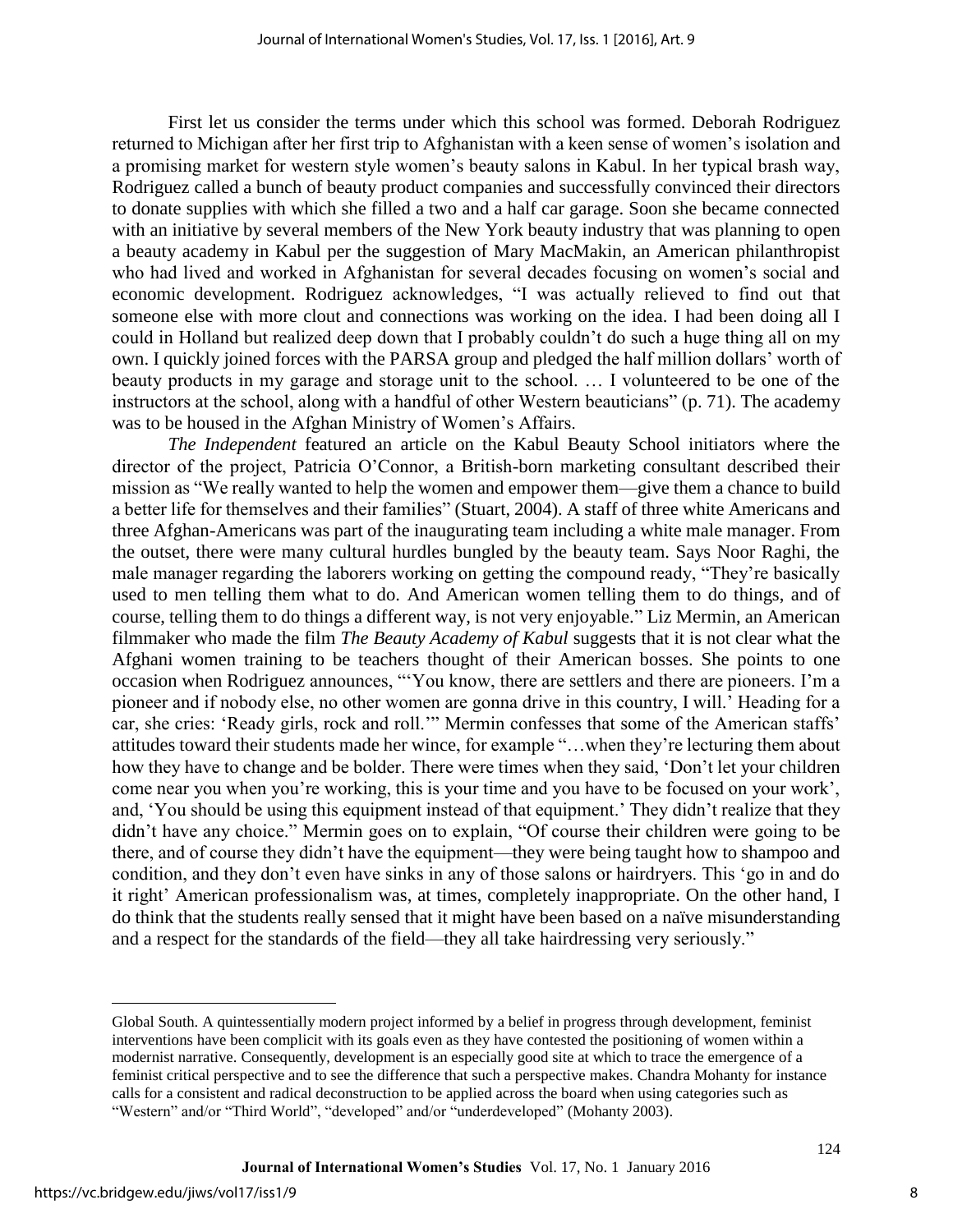First let us consider the terms under which this school was formed. Deborah Rodriguez returned to Michigan after her first trip to Afghanistan with a keen sense of women's isolation and a promising market for western style women's beauty salons in Kabul. In her typical brash way, Rodriguez called a bunch of beauty product companies and successfully convinced their directors to donate supplies with which she filled a two and a half car garage. Soon she became connected with an initiative by several members of the New York beauty industry that was planning to open a beauty academy in Kabul per the suggestion of Mary MacMakin, an American philanthropist who had lived and worked in Afghanistan for several decades focusing on women's social and economic development. Rodriguez acknowledges, "I was actually relieved to find out that someone else with more clout and connections was working on the idea. I had been doing all I could in Holland but realized deep down that I probably couldn't do such a huge thing all on my own. I quickly joined forces with the PARSA group and pledged the half million dollars' worth of beauty products in my garage and storage unit to the school. … I volunteered to be one of the instructors at the school, along with a handful of other Western beauticians" (p. 71). The academy was to be housed in the Afghan Ministry of Women's Affairs.

*The Independent* featured an article on the Kabul Beauty School initiators where the director of the project, Patricia O'Connor, a British-born marketing consultant described their mission as "We really wanted to help the women and empower them—give them a chance to build a better life for themselves and their families" (Stuart, 2004). A staff of three white Americans and three Afghan-Americans was part of the inaugurating team including a white male manager. From the outset, there were many cultural hurdles bungled by the beauty team. Says Noor Raghi, the male manager regarding the laborers working on getting the compound ready, "They're basically used to men telling them what to do. And American women telling them to do things, and of course, telling them to do things a different way, is not very enjoyable." Liz Mermin, an American filmmaker who made the film *The Beauty Academy of Kabul* suggests that it is not clear what the Afghani women training to be teachers thought of their American bosses. She points to one occasion when Rodriguez announces, "'You know, there are settlers and there are pioneers. I'm a pioneer and if nobody else, no other women are gonna drive in this country, I will.' Heading for a car, she cries: 'Ready girls, rock and roll.'" Mermin confesses that some of the American staffs' attitudes toward their students made her wince, for example "…when they're lecturing them about how they have to change and be bolder. There were times when they said, 'Don't let your children come near you when you're working, this is your time and you have to be focused on your work', and, 'You should be using this equipment instead of that equipment.' They didn't realize that they didn't have any choice." Mermin goes on to explain, "Of course their children were going to be there, and of course they didn't have the equipment—they were being taught how to shampoo and condition, and they don't even have sinks in any of those salons or hairdryers. This 'go in and do it right' American professionalism was, at times, completely inappropriate. On the other hand, I do think that the students really sensed that it might have been based on a naïve misunderstanding and a respect for the standards of the field—they all take hairdressing very seriously."

l

Global South. A quintessentially modern project informed by a belief in progress through development, feminist interventions have been complicit with its goals even as they have contested the positioning of women within a modernist narrative. Consequently, development is an especially good site at which to trace the emergence of a feminist critical perspective and to see the difference that such a perspective makes. Chandra Mohanty for instance calls for a consistent and radical deconstruction to be applied across the board when using categories such as "Western" and/or "Third World", "developed" and/or "underdeveloped" (Mohanty 2003).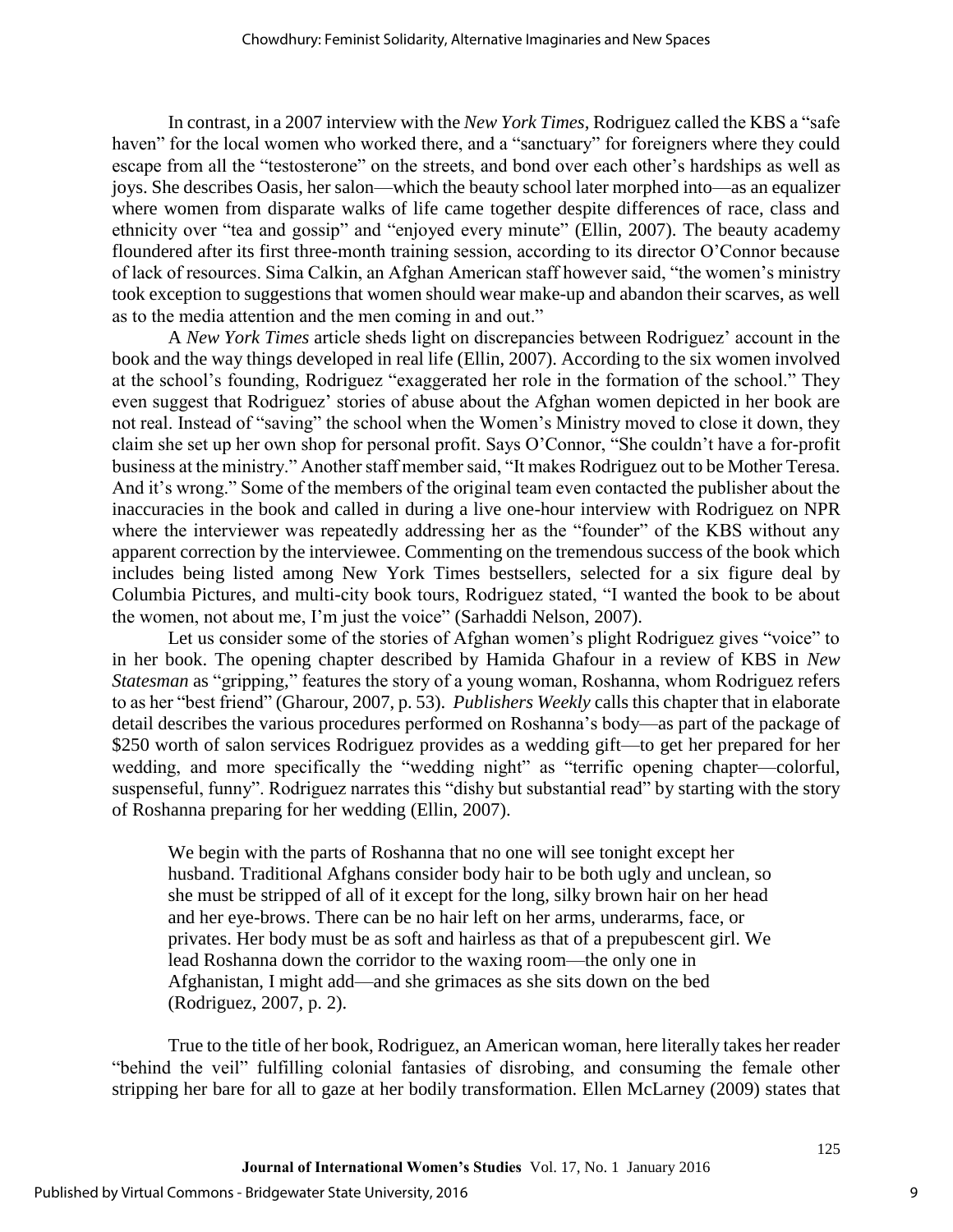In contrast, in a 2007 interview with the *New York Times*, Rodriguez called the KBS a "safe haven" for the local women who worked there, and a "sanctuary" for foreigners where they could escape from all the "testosterone" on the streets, and bond over each other's hardships as well as joys. She describes Oasis, her salon—which the beauty school later morphed into—as an equalizer where women from disparate walks of life came together despite differences of race, class and ethnicity over "tea and gossip" and "enjoyed every minute" (Ellin, 2007). The beauty academy floundered after its first three-month training session, according to its director O'Connor because of lack of resources. Sima Calkin, an Afghan American staff however said, "the women's ministry took exception to suggestions that women should wear make-up and abandon their scarves, as well as to the media attention and the men coming in and out."

A *New York Times* article sheds light on discrepancies between Rodriguez' account in the book and the way things developed in real life (Ellin, 2007). According to the six women involved at the school's founding, Rodriguez "exaggerated her role in the formation of the school." They even suggest that Rodriguez' stories of abuse about the Afghan women depicted in her book are not real. Instead of "saving" the school when the Women's Ministry moved to close it down, they claim she set up her own shop for personal profit. Says O'Connor, "She couldn't have a for-profit business at the ministry." Another staff member said, "It makes Rodriguez out to be Mother Teresa. And it's wrong." Some of the members of the original team even contacted the publisher about the inaccuracies in the book and called in during a live one-hour interview with Rodriguez on NPR where the interviewer was repeatedly addressing her as the "founder" of the KBS without any apparent correction by the interviewee. Commenting on the tremendous success of the book which includes being listed among New York Times bestsellers, selected for a six figure deal by Columbia Pictures, and multi-city book tours, Rodriguez stated, "I wanted the book to be about the women, not about me, I'm just the voice" (Sarhaddi Nelson, 2007).

Let us consider some of the stories of Afghan women's plight Rodriguez gives "voice" to in her book. The opening chapter described by Hamida Ghafour in a review of KBS in *New Statesman* as "gripping," features the story of a young woman, Roshanna, whom Rodriguez refers to as her "best friend" (Gharour, 2007, p. 53). *Publishers Weekly* calls this chapter that in elaborate detail describes the various procedures performed on Roshanna's body—as part of the package of \$250 worth of salon services Rodriguez provides as a wedding gift—to get her prepared for her wedding, and more specifically the "wedding night" as "terrific opening chapter—colorful, suspenseful, funny". Rodriguez narrates this "dishy but substantial read" by starting with the story of Roshanna preparing for her wedding (Ellin, 2007).

We begin with the parts of Roshanna that no one will see tonight except her husband. Traditional Afghans consider body hair to be both ugly and unclean, so she must be stripped of all of it except for the long, silky brown hair on her head and her eye-brows. There can be no hair left on her arms, underarms, face, or privates. Her body must be as soft and hairless as that of a prepubescent girl. We lead Roshanna down the corridor to the waxing room—the only one in Afghanistan, I might add—and she grimaces as she sits down on the bed (Rodriguez, 2007, p. 2).

True to the title of her book, Rodriguez, an American woman, here literally takes her reader "behind the veil" fulfilling colonial fantasies of disrobing, and consuming the female other stripping her bare for all to gaze at her bodily transformation. Ellen McLarney (2009) states that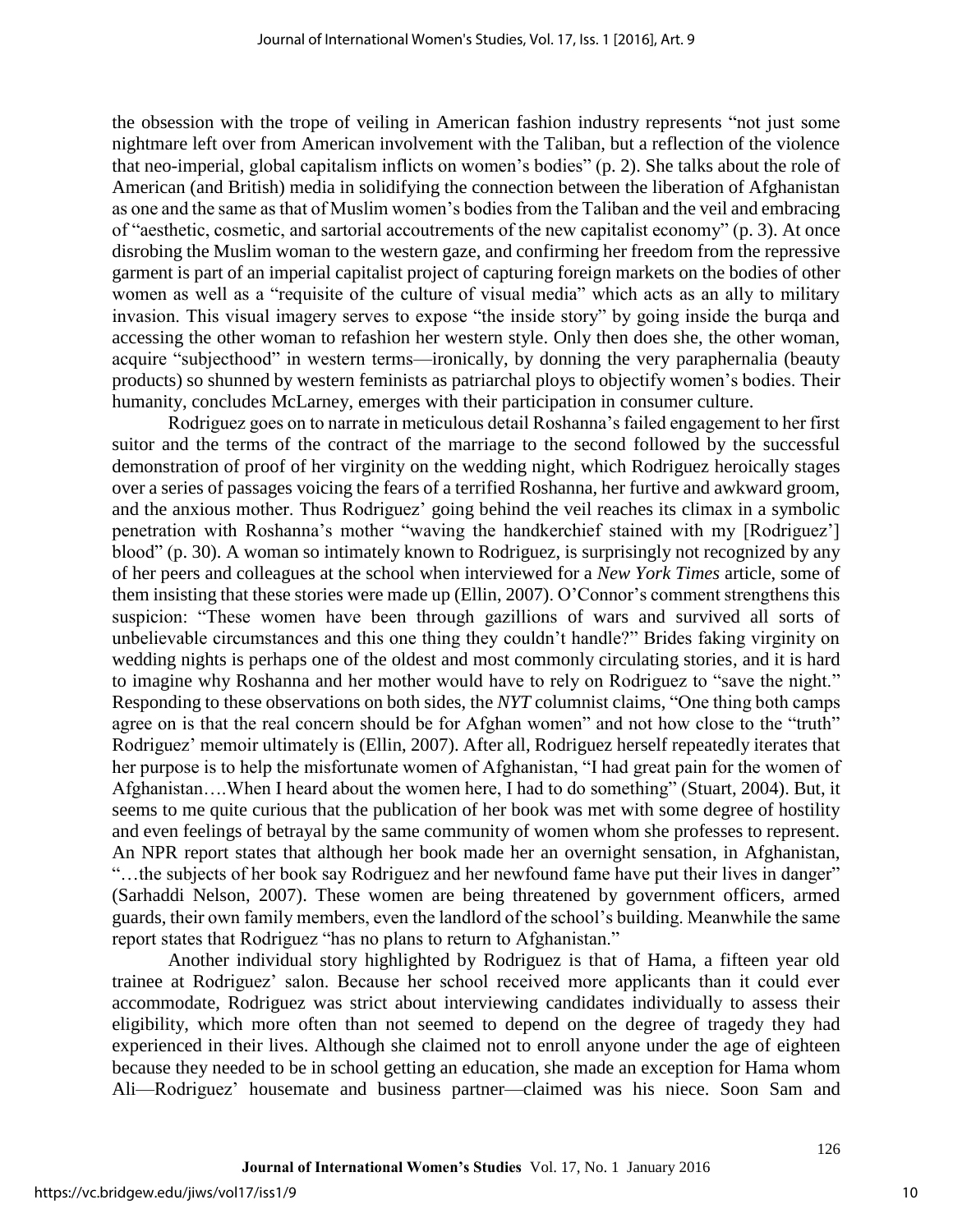the obsession with the trope of veiling in American fashion industry represents "not just some nightmare left over from American involvement with the Taliban, but a reflection of the violence that neo-imperial, global capitalism inflicts on women's bodies" (p. 2). She talks about the role of American (and British) media in solidifying the connection between the liberation of Afghanistan as one and the same as that of Muslim women's bodies from the Taliban and the veil and embracing of "aesthetic, cosmetic, and sartorial accoutrements of the new capitalist economy" (p. 3). At once disrobing the Muslim woman to the western gaze, and confirming her freedom from the repressive garment is part of an imperial capitalist project of capturing foreign markets on the bodies of other women as well as a "requisite of the culture of visual media" which acts as an ally to military invasion. This visual imagery serves to expose "the inside story" by going inside the burqa and accessing the other woman to refashion her western style. Only then does she, the other woman, acquire "subjecthood" in western terms—ironically, by donning the very paraphernalia (beauty products) so shunned by western feminists as patriarchal ploys to objectify women's bodies. Their humanity, concludes McLarney, emerges with their participation in consumer culture.

Rodriguez goes on to narrate in meticulous detail Roshanna's failed engagement to her first suitor and the terms of the contract of the marriage to the second followed by the successful demonstration of proof of her virginity on the wedding night, which Rodriguez heroically stages over a series of passages voicing the fears of a terrified Roshanna, her furtive and awkward groom, and the anxious mother. Thus Rodriguez' going behind the veil reaches its climax in a symbolic penetration with Roshanna's mother "waving the handkerchief stained with my [Rodriguez'] blood" (p. 30). A woman so intimately known to Rodriguez, is surprisingly not recognized by any of her peers and colleagues at the school when interviewed for a *New York Times* article, some of them insisting that these stories were made up (Ellin, 2007). O'Connor's comment strengthens this suspicion: "These women have been through gazillions of wars and survived all sorts of unbelievable circumstances and this one thing they couldn't handle?" Brides faking virginity on wedding nights is perhaps one of the oldest and most commonly circulating stories, and it is hard to imagine why Roshanna and her mother would have to rely on Rodriguez to "save the night." Responding to these observations on both sides, the *NYT* columnist claims, "One thing both camps agree on is that the real concern should be for Afghan women" and not how close to the "truth" Rodriguez' memoir ultimately is (Ellin, 2007). After all, Rodriguez herself repeatedly iterates that her purpose is to help the misfortunate women of Afghanistan, "I had great pain for the women of Afghanistan….When I heard about the women here, I had to do something" (Stuart, 2004). But, it seems to me quite curious that the publication of her book was met with some degree of hostility and even feelings of betrayal by the same community of women whom she professes to represent. An NPR report states that although her book made her an overnight sensation, in Afghanistan, "…the subjects of her book say Rodriguez and her newfound fame have put their lives in danger" (Sarhaddi Nelson, 2007). These women are being threatened by government officers, armed guards, their own family members, even the landlord of the school's building. Meanwhile the same report states that Rodriguez "has no plans to return to Afghanistan."

Another individual story highlighted by Rodriguez is that of Hama, a fifteen year old trainee at Rodriguez' salon. Because her school received more applicants than it could ever accommodate, Rodriguez was strict about interviewing candidates individually to assess their eligibility, which more often than not seemed to depend on the degree of tragedy they had experienced in their lives. Although she claimed not to enroll anyone under the age of eighteen because they needed to be in school getting an education, she made an exception for Hama whom Ali—Rodriguez' housemate and business partner—claimed was his niece. Soon Sam and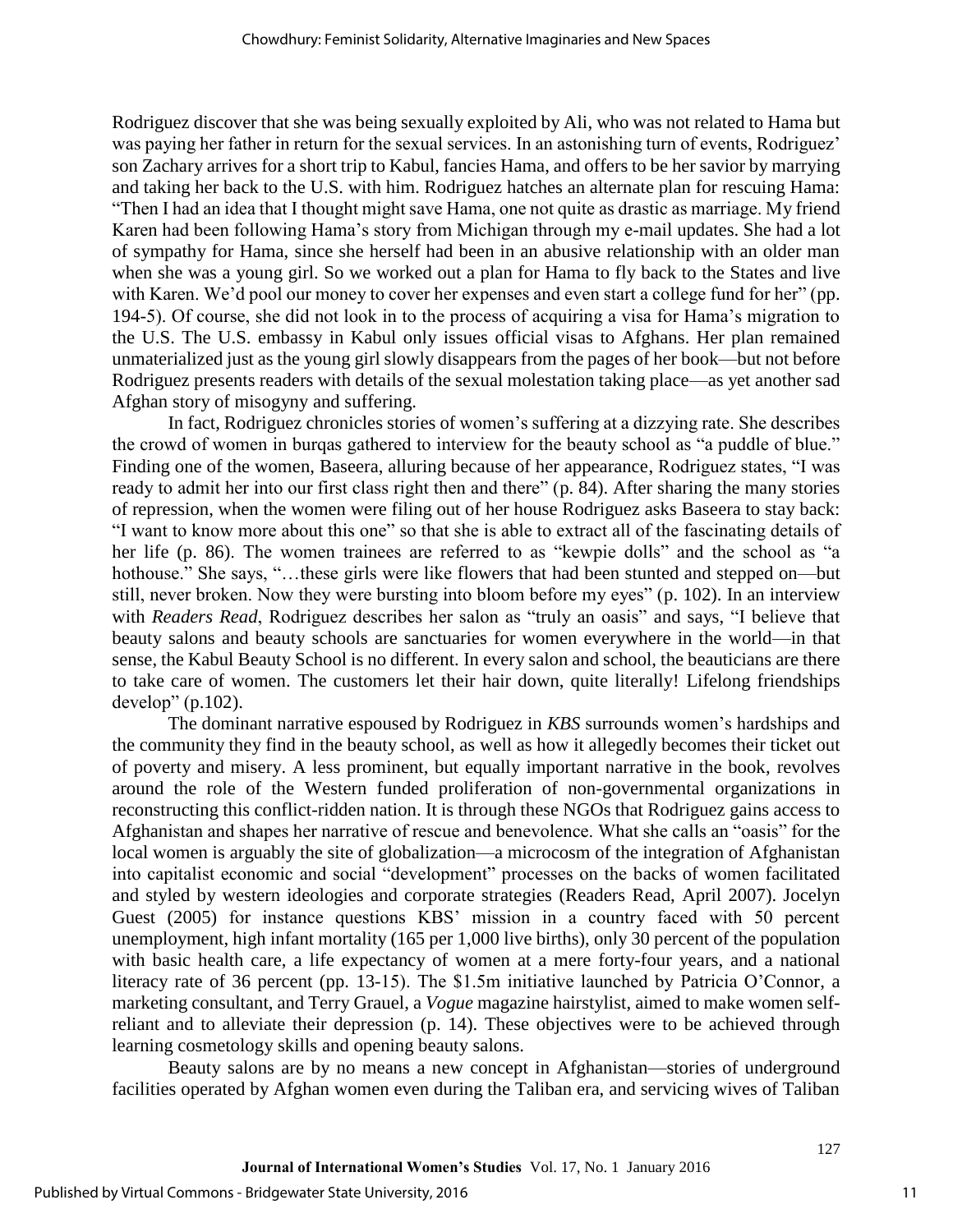Rodriguez discover that she was being sexually exploited by Ali, who was not related to Hama but was paying her father in return for the sexual services. In an astonishing turn of events, Rodriguez' son Zachary arrives for a short trip to Kabul, fancies Hama, and offers to be her savior by marrying and taking her back to the U.S. with him. Rodriguez hatches an alternate plan for rescuing Hama: "Then I had an idea that I thought might save Hama, one not quite as drastic as marriage. My friend Karen had been following Hama's story from Michigan through my e-mail updates. She had a lot of sympathy for Hama, since she herself had been in an abusive relationship with an older man when she was a young girl. So we worked out a plan for Hama to fly back to the States and live with Karen. We'd pool our money to cover her expenses and even start a college fund for her" (pp. 194-5). Of course, she did not look in to the process of acquiring a visa for Hama's migration to the U.S. The U.S. embassy in Kabul only issues official visas to Afghans. Her plan remained unmaterialized just as the young girl slowly disappears from the pages of her book—but not before Rodriguez presents readers with details of the sexual molestation taking place—as yet another sad Afghan story of misogyny and suffering.

In fact, Rodriguez chronicles stories of women's suffering at a dizzying rate. She describes the crowd of women in burqas gathered to interview for the beauty school as "a puddle of blue." Finding one of the women, Baseera, alluring because of her appearance, Rodriguez states, "I was ready to admit her into our first class right then and there" (p. 84). After sharing the many stories of repression, when the women were filing out of her house Rodriguez asks Baseera to stay back: "I want to know more about this one" so that she is able to extract all of the fascinating details of her life (p. 86). The women trainees are referred to as "kewpie dolls" and the school as "a hothouse." She says, "…these girls were like flowers that had been stunted and stepped on—but still, never broken. Now they were bursting into bloom before my eyes" (p. 102). In an interview with *Readers Read*, Rodriguez describes her salon as "truly an oasis" and says, "I believe that beauty salons and beauty schools are sanctuaries for women everywhere in the world—in that sense, the Kabul Beauty School is no different. In every salon and school, the beauticians are there to take care of women. The customers let their hair down, quite literally! Lifelong friendships develop" (p.102).

The dominant narrative espoused by Rodriguez in *KBS* surrounds women's hardships and the community they find in the beauty school, as well as how it allegedly becomes their ticket out of poverty and misery. A less prominent, but equally important narrative in the book, revolves around the role of the Western funded proliferation of non-governmental organizations in reconstructing this conflict-ridden nation. It is through these NGOs that Rodriguez gains access to Afghanistan and shapes her narrative of rescue and benevolence. What she calls an "oasis" for the local women is arguably the site of globalization—a microcosm of the integration of Afghanistan into capitalist economic and social "development" processes on the backs of women facilitated and styled by western ideologies and corporate strategies (Readers Read, April 2007). Jocelyn Guest (2005) for instance questions KBS' mission in a country faced with 50 percent unemployment, high infant mortality (165 per 1,000 live births), only 30 percent of the population with basic health care, a life expectancy of women at a mere forty-four years, and a national literacy rate of 36 percent (pp. 13-15). The \$1.5m initiative launched by Patricia O'Connor, a marketing consultant, and Terry Grauel, a *Vogue* magazine hairstylist, aimed to make women selfreliant and to alleviate their depression (p. 14). These objectives were to be achieved through learning cosmetology skills and opening beauty salons.

Beauty salons are by no means a new concept in Afghanistan—stories of underground facilities operated by Afghan women even during the Taliban era, and servicing wives of Taliban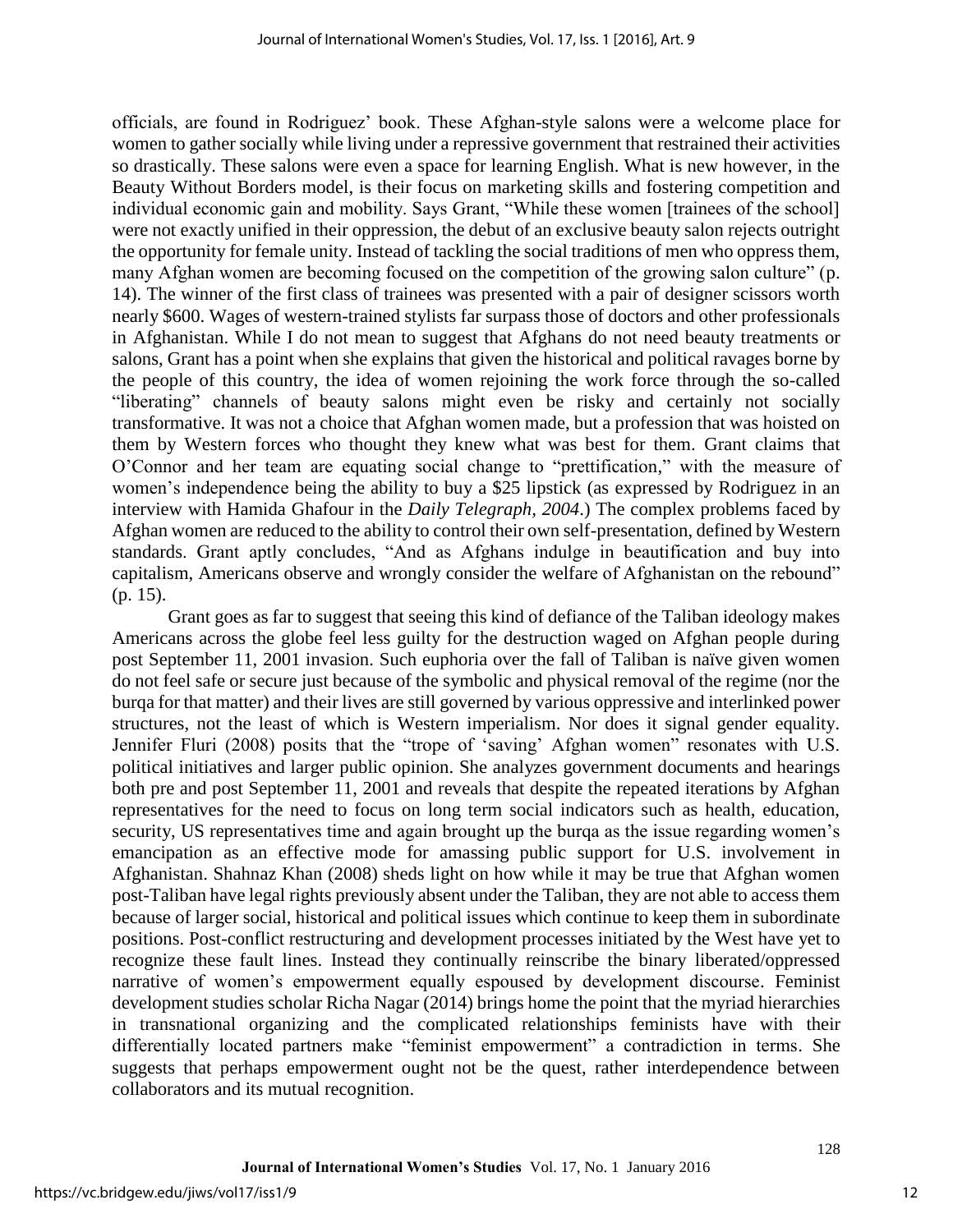officials, are found in Rodriguez' book. These Afghan-style salons were a welcome place for women to gather socially while living under a repressive government that restrained their activities so drastically. These salons were even a space for learning English. What is new however, in the Beauty Without Borders model, is their focus on marketing skills and fostering competition and individual economic gain and mobility. Says Grant, "While these women [trainees of the school] were not exactly unified in their oppression, the debut of an exclusive beauty salon rejects outright the opportunity for female unity. Instead of tackling the social traditions of men who oppress them, many Afghan women are becoming focused on the competition of the growing salon culture" (p. 14). The winner of the first class of trainees was presented with a pair of designer scissors worth nearly \$600. Wages of western-trained stylists far surpass those of doctors and other professionals in Afghanistan. While I do not mean to suggest that Afghans do not need beauty treatments or salons, Grant has a point when she explains that given the historical and political ravages borne by the people of this country, the idea of women rejoining the work force through the so-called "liberating" channels of beauty salons might even be risky and certainly not socially transformative. It was not a choice that Afghan women made, but a profession that was hoisted on them by Western forces who thought they knew what was best for them. Grant claims that O'Connor and her team are equating social change to "prettification," with the measure of women's independence being the ability to buy a \$25 lipstick (as expressed by Rodriguez in an interview with Hamida Ghafour in the *Daily Telegraph, 2004*.) The complex problems faced by Afghan women are reduced to the ability to control their own self-presentation, defined by Western standards. Grant aptly concludes, "And as Afghans indulge in beautification and buy into capitalism, Americans observe and wrongly consider the welfare of Afghanistan on the rebound" (p. 15).

Grant goes as far to suggest that seeing this kind of defiance of the Taliban ideology makes Americans across the globe feel less guilty for the destruction waged on Afghan people during post September 11, 2001 invasion. Such euphoria over the fall of Taliban is naïve given women do not feel safe or secure just because of the symbolic and physical removal of the regime (nor the burqa for that matter) and their lives are still governed by various oppressive and interlinked power structures, not the least of which is Western imperialism. Nor does it signal gender equality. Jennifer Fluri (2008) posits that the "trope of 'saving' Afghan women" resonates with U.S. political initiatives and larger public opinion. She analyzes government documents and hearings both pre and post September 11, 2001 and reveals that despite the repeated iterations by Afghan representatives for the need to focus on long term social indicators such as health, education, security, US representatives time and again brought up the burqa as the issue regarding women's emancipation as an effective mode for amassing public support for U.S. involvement in Afghanistan. Shahnaz Khan (2008) sheds light on how while it may be true that Afghan women post-Taliban have legal rights previously absent under the Taliban, they are not able to access them because of larger social, historical and political issues which continue to keep them in subordinate positions. Post-conflict restructuring and development processes initiated by the West have yet to recognize these fault lines. Instead they continually reinscribe the binary liberated/oppressed narrative of women's empowerment equally espoused by development discourse. Feminist development studies scholar Richa Nagar (2014) brings home the point that the myriad hierarchies in transnational organizing and the complicated relationships feminists have with their differentially located partners make "feminist empowerment" a contradiction in terms. She suggests that perhaps empowerment ought not be the quest, rather interdependence between collaborators and its mutual recognition.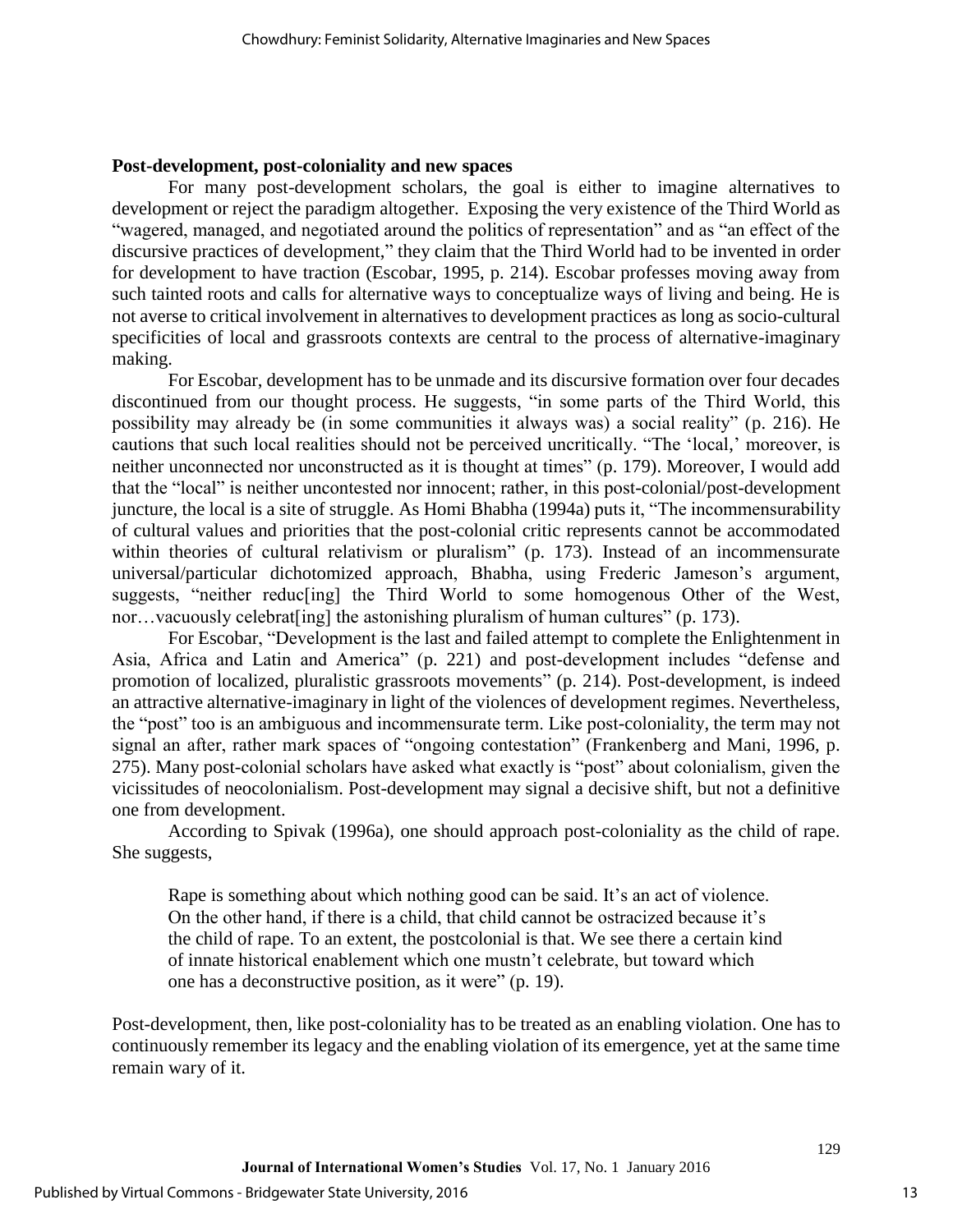#### **Post-development, post-coloniality and new spaces**

For many post-development scholars, the goal is either to imagine alternatives to development or reject the paradigm altogether. Exposing the very existence of the Third World as "wagered, managed, and negotiated around the politics of representation" and as "an effect of the discursive practices of development," they claim that the Third World had to be invented in order for development to have traction (Escobar, 1995, p. 214). Escobar professes moving away from such tainted roots and calls for alternative ways to conceptualize ways of living and being. He is not averse to critical involvement in alternatives to development practices as long as socio-cultural specificities of local and grassroots contexts are central to the process of alternative-imaginary making.

For Escobar, development has to be unmade and its discursive formation over four decades discontinued from our thought process. He suggests, "in some parts of the Third World, this possibility may already be (in some communities it always was) a social reality" (p. 216). He cautions that such local realities should not be perceived uncritically. "The 'local,' moreover, is neither unconnected nor unconstructed as it is thought at times" (p. 179). Moreover, I would add that the "local" is neither uncontested nor innocent; rather, in this post-colonial/post-development juncture, the local is a site of struggle. As Homi Bhabha (1994a) puts it, "The incommensurability of cultural values and priorities that the post-colonial critic represents cannot be accommodated within theories of cultural relativism or pluralism" (p. 173). Instead of an incommensurate universal/particular dichotomized approach, Bhabha, using Frederic Jameson's argument, suggests, "neither reduc[ing] the Third World to some homogenous Other of the West, nor…vacuously celebrat[ing] the astonishing pluralism of human cultures" (p. 173).

For Escobar, "Development is the last and failed attempt to complete the Enlightenment in Asia, Africa and Latin and America" (p. 221) and post-development includes "defense and promotion of localized, pluralistic grassroots movements" (p. 214). Post-development, is indeed an attractive alternative-imaginary in light of the violences of development regimes. Nevertheless, the "post" too is an ambiguous and incommensurate term. Like post-coloniality, the term may not signal an after, rather mark spaces of "ongoing contestation" (Frankenberg and Mani, 1996, p. 275). Many post-colonial scholars have asked what exactly is "post" about colonialism, given the vicissitudes of neocolonialism. Post-development may signal a decisive shift, but not a definitive one from development.

According to Spivak (1996a), one should approach post-coloniality as the child of rape. She suggests,

Rape is something about which nothing good can be said. It's an act of violence. On the other hand, if there is a child, that child cannot be ostracized because it's the child of rape. To an extent, the postcolonial is that. We see there a certain kind of innate historical enablement which one mustn't celebrate, but toward which one has a deconstructive position, as it were" (p. 19).

Post-development, then, like post-coloniality has to be treated as an enabling violation. One has to continuously remember its legacy and the enabling violation of its emergence, yet at the same time remain wary of it.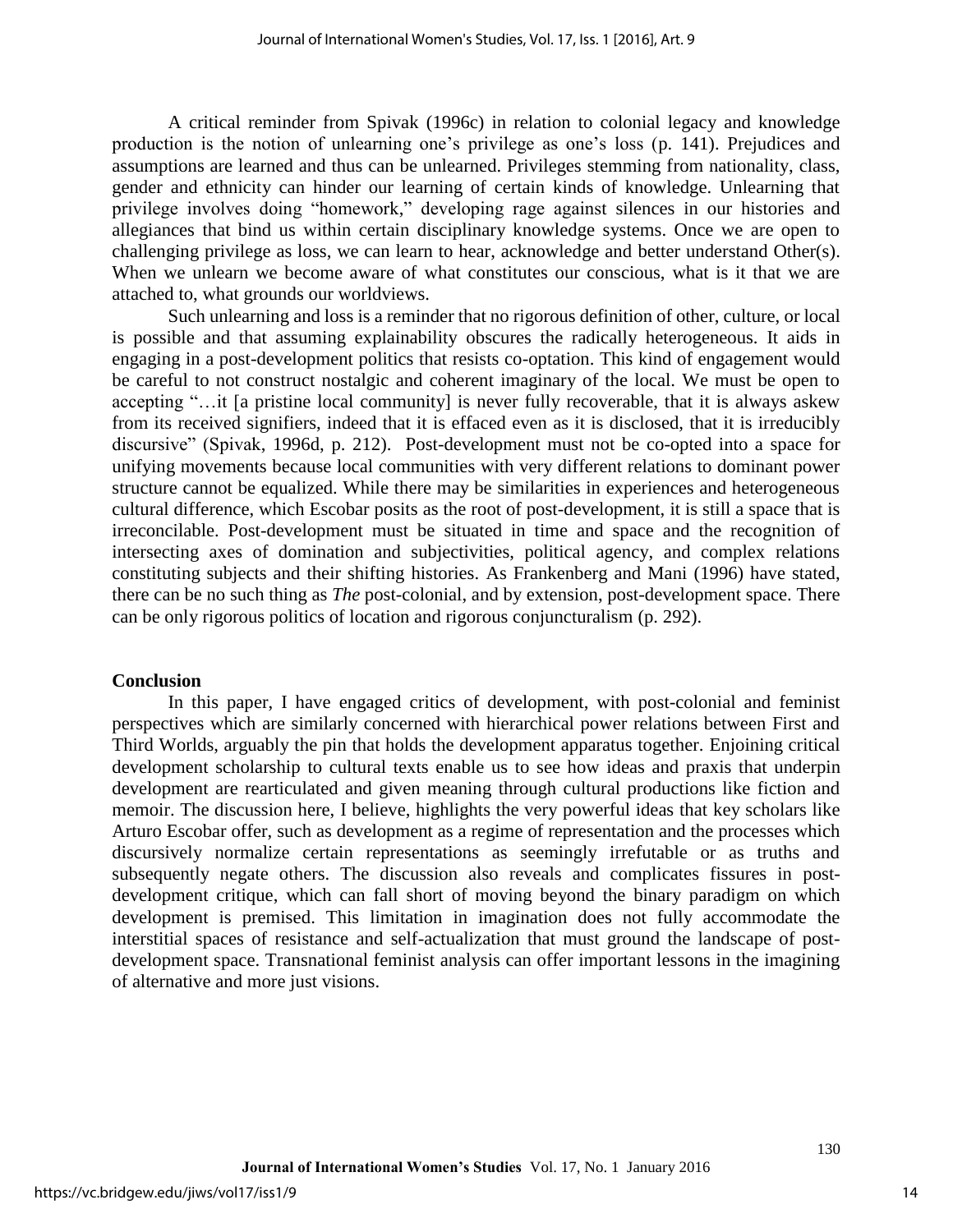A critical reminder from Spivak (1996c) in relation to colonial legacy and knowledge production is the notion of unlearning one's privilege as one's loss (p. 141). Prejudices and assumptions are learned and thus can be unlearned. Privileges stemming from nationality, class, gender and ethnicity can hinder our learning of certain kinds of knowledge. Unlearning that privilege involves doing "homework," developing rage against silences in our histories and allegiances that bind us within certain disciplinary knowledge systems. Once we are open to challenging privilege as loss, we can learn to hear, acknowledge and better understand Other(s). When we unlearn we become aware of what constitutes our conscious, what is it that we are attached to, what grounds our worldviews.

Such unlearning and loss is a reminder that no rigorous definition of other, culture, or local is possible and that assuming explainability obscures the radically heterogeneous. It aids in engaging in a post-development politics that resists co-optation. This kind of engagement would be careful to not construct nostalgic and coherent imaginary of the local. We must be open to accepting "…it [a pristine local community] is never fully recoverable, that it is always askew from its received signifiers, indeed that it is effaced even as it is disclosed, that it is irreducibly discursive" (Spivak, 1996d, p. 212). Post-development must not be co-opted into a space for unifying movements because local communities with very different relations to dominant power structure cannot be equalized. While there may be similarities in experiences and heterogeneous cultural difference, which Escobar posits as the root of post-development, it is still a space that is irreconcilable. Post-development must be situated in time and space and the recognition of intersecting axes of domination and subjectivities, political agency, and complex relations constituting subjects and their shifting histories. As Frankenberg and Mani (1996) have stated, there can be no such thing as *The* post-colonial, and by extension, post-development space. There can be only rigorous politics of location and rigorous conjuncturalism (p. 292).

#### **Conclusion**

In this paper, I have engaged critics of development, with post-colonial and feminist perspectives which are similarly concerned with hierarchical power relations between First and Third Worlds, arguably the pin that holds the development apparatus together. Enjoining critical development scholarship to cultural texts enable us to see how ideas and praxis that underpin development are rearticulated and given meaning through cultural productions like fiction and memoir. The discussion here, I believe, highlights the very powerful ideas that key scholars like Arturo Escobar offer, such as development as a regime of representation and the processes which discursively normalize certain representations as seemingly irrefutable or as truths and subsequently negate others. The discussion also reveals and complicates fissures in postdevelopment critique, which can fall short of moving beyond the binary paradigm on which development is premised. This limitation in imagination does not fully accommodate the interstitial spaces of resistance and self-actualization that must ground the landscape of postdevelopment space. Transnational feminist analysis can offer important lessons in the imagining of alternative and more just visions.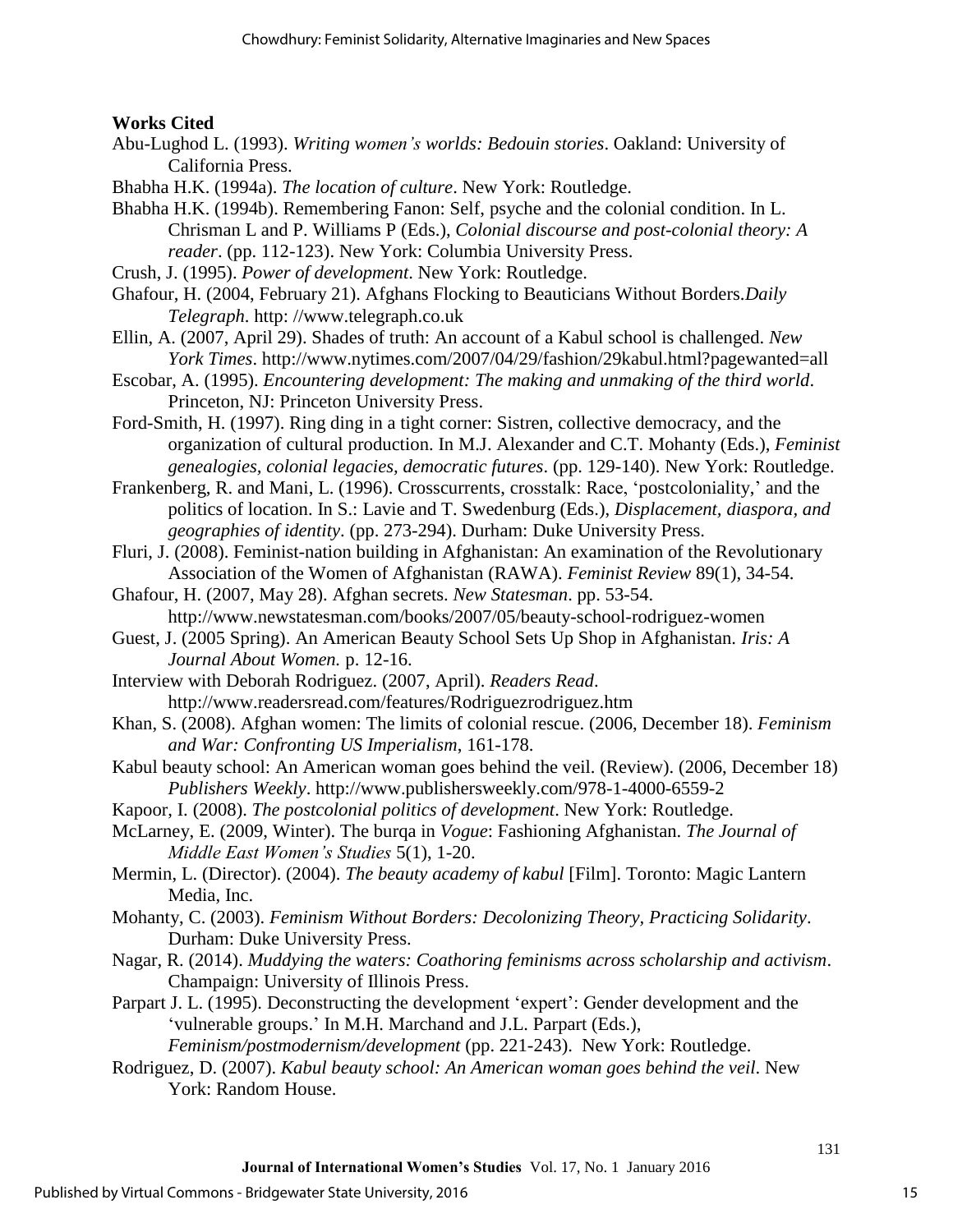## **Works Cited**

- Abu-Lughod L. (1993). *Writing women's worlds: Bedouin stories*. Oakland: University of California Press.
- Bhabha H.K. (1994a). *The location of culture*. New York: Routledge.

Bhabha H.K. (1994b). Remembering Fanon: Self, psyche and the colonial condition. In L. Chrisman L and P. Williams P (Eds.), *Colonial discourse and post-colonial theory: A reader*. (pp. 112-123). New York: Columbia University Press.

- Crush, J. (1995). *Power of development*. New York: Routledge.
- Ghafour, H. (2004, February 21). Afghans Flocking to Beauticians Without Borders.*Daily Telegraph*. http: //www.telegraph.co.uk

Ellin, A. (2007, April 29). Shades of truth: An account of a Kabul school is challenged. *New York Times*. http://www.nytimes.com/2007/04/29/fashion/29kabul.html?pagewanted=all

Escobar, A. (1995). *Encountering development: The making and unmaking of the third world*. Princeton, NJ: Princeton University Press.

Ford-Smith, H. (1997). Ring ding in a tight corner: Sistren, collective democracy, and the organization of cultural production. In M.J. Alexander and C.T. Mohanty (Eds.), *Feminist genealogies, colonial legacies, democratic futures*. (pp. 129-140). New York: Routledge.

Frankenberg, R. and Mani, L. (1996). Crosscurrents, crosstalk: Race, 'postcoloniality,' and the politics of location. In S.: Lavie and T. Swedenburg (Eds.), *Displacement, diaspora, and geographies of identity*. (pp. 273-294). Durham: Duke University Press.

Fluri, J. (2008). Feminist-nation building in Afghanistan: An examination of the Revolutionary Association of the Women of Afghanistan (RAWA). *Feminist Review* 89(1), 34-54.

Ghafour, H. (2007, May 28). Afghan secrets. *New Statesman*. pp. 53-54. http://www.newstatesman.com/books/2007/05/beauty-school-rodriguez-women

Guest, J. (2005 Spring). An American Beauty School Sets Up Shop in Afghanistan. *Iris: A Journal About Women.* p. 12-16.

Interview with Deborah Rodriguez. (2007, April). *Readers Read*. http://www.readersread.com/features/Rodriguezrodriguez.htm

Khan, S. (2008). Afghan women: The limits of colonial rescue. (2006, December 18). *Feminism and War: Confronting US Imperialism*, 161-178.

Kabul beauty school: An American woman goes behind the veil. (Review). (2006, December 18) *Publishers Weekly*. http://www.publishersweekly.com/978-1-4000-6559-2

Kapoor, I. (2008). *The postcolonial politics of development*. New York: Routledge.

McLarney, E. (2009, Winter). The burqa in *Vogue*: Fashioning Afghanistan. *The Journal of Middle East Women's Studies* 5(1), 1-20.

Mermin, L. (Director). (2004). *The beauty academy of kabul* [Film]. Toronto: Magic Lantern Media, Inc.

Mohanty, C. (2003). *Feminism Without Borders: Decolonizing Theory, Practicing Solidarity*. Durham: Duke University Press.

Nagar, R. (2014). *Muddying the waters: Coathoring feminisms across scholarship and activism*. Champaign: University of Illinois Press.

Parpart J. L. (1995). Deconstructing the development 'expert': Gender development and the 'vulnerable groups.' In M.H. Marchand and J.L. Parpart (Eds.),

*Feminism/postmodernism/development* (pp. 221-243). New York: Routledge.

Rodriguez, D. (2007). *Kabul beauty school: An American woman goes behind the veil*. New York: Random House.